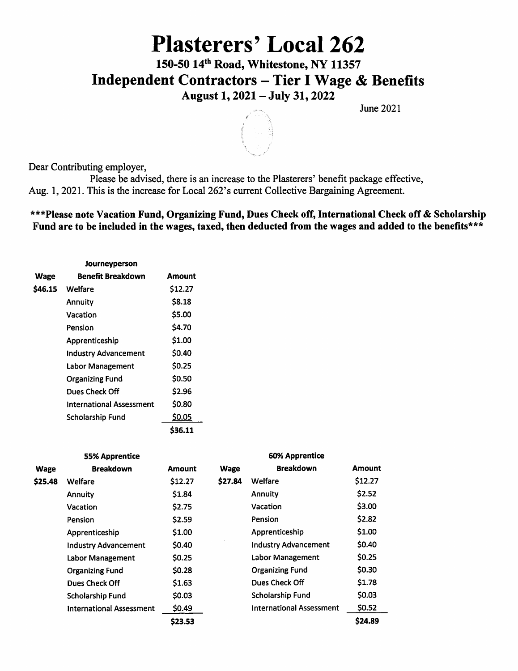# Plasterers' Local 262

150-50 14<sup>th</sup> Road, Whitestone, NY 11357 Independent Contractors - Tier I Wage & Benefits August 1,2021 - July 31,2022

June 2021



Dear Contributing employer.

Please be advised, there is an increase to the Plasterers' benefit package effective, Aug. 1, 2021. This is the increase for Local 262's current Collective Bargaining Agreement.

### \*\*\*Please note Vacation Fund, Organizing Fund, Dues Check off, International Check off & Scholarship Fund are to be included in the wages, taxed, then deducted from the wages and added to the benefits\*\*\*

| Journeyperson |                                 |         |  |  |  |  |
|---------------|---------------------------------|---------|--|--|--|--|
| Wage          | <b>Benefit Breakdown</b>        | Amount  |  |  |  |  |
| \$46.15       | Welfare                         | \$12.27 |  |  |  |  |
|               | <b>Annuity</b>                  | \$8.18  |  |  |  |  |
|               | Vacation                        | \$5.00  |  |  |  |  |
|               | Pension                         | \$4.70  |  |  |  |  |
|               | Apprenticeship                  | \$1.00  |  |  |  |  |
|               | <b>Industry Advancement</b>     | \$0.40  |  |  |  |  |
|               | Labor Management                | \$0.25  |  |  |  |  |
|               | <b>Organizing Fund</b>          | \$0.50  |  |  |  |  |
|               | Dues Check Off                  | \$2.96  |  |  |  |  |
|               | <b>International Assessment</b> | \$0.80  |  |  |  |  |
|               | Scholarship Fund                | \$0.05  |  |  |  |  |
|               |                                 | \$36.11 |  |  |  |  |

| <b>55% Apprentice</b> |                                 |              | <b>60% Apprentice</b> |                                 |               |
|-----------------------|---------------------------------|--------------|-----------------------|---------------------------------|---------------|
| <b>Wage</b>           | <b>Breakdown</b>                | Amount       | <b>Wage</b>           | <b>Breakdown</b>                | <b>Amount</b> |
| \$25.48               | Welfare                         | \$12.27      | \$27.84               | Welfare                         | \$12.27       |
|                       | <b>Annuity</b>                  | \$1.84       |                       | <b>Annuity</b>                  | \$2.52        |
|                       | Vacation                        | <b>S2.75</b> |                       | Vacation                        | \$3.00        |
|                       | Pension                         | \$2.59       |                       | Pension                         | \$2.82        |
|                       | Apprenticeship                  | \$1.00       |                       | Apprenticeship                  | \$1.00        |
|                       | <b>Industry Advancement</b>     | \$0.40       |                       | <b>Industry Advancement</b>     | \$0.40        |
|                       | Labor Management                | \$0.25       |                       | Labor Management                | \$0.25        |
|                       | <b>Organizing Fund</b>          | \$0.28       |                       | <b>Organizing Fund</b>          | \$0.30        |
|                       | <b>Dues Check Off</b>           | \$1.63       |                       | Dues Check Off                  | \$1.78        |
|                       | Scholarship Fund                | \$0.03       |                       | Scholarship Fund                | \$0.03        |
|                       | <b>International Assessment</b> | \$0.49       |                       | <b>International Assessment</b> | \$0.52        |
|                       |                                 | \$23.53      |                       |                                 | \$24.89       |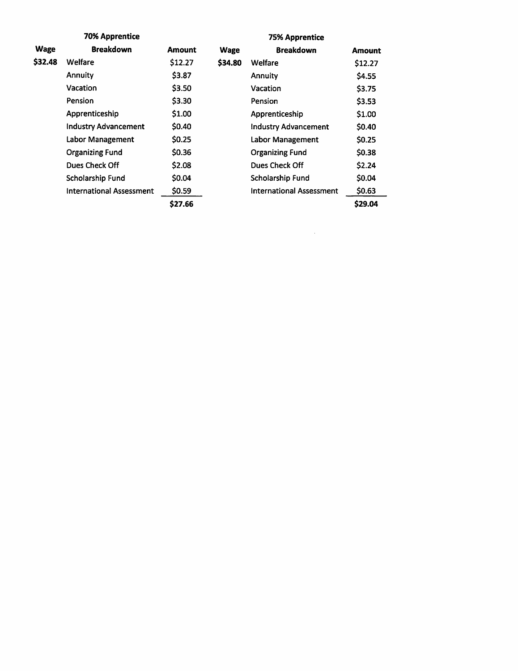| <b>70% Apprentice</b> |                                 |               | <b>75% Apprentice</b> |                                 |               |
|-----------------------|---------------------------------|---------------|-----------------------|---------------------------------|---------------|
| <b>Wage</b>           | <b>Breakdown</b>                | <b>Amount</b> | <b>Wage</b>           | <b>Breakdown</b>                | <b>Amount</b> |
| \$32.48               | Welfare                         | \$12.27       | \$34.80               | Welfare                         | \$12.27       |
|                       | Annuity                         | \$3.87        |                       | <b>Annuity</b>                  | \$4.55        |
|                       | Vacation                        | \$3.50        |                       | Vacation                        | \$3.75        |
|                       | Pension                         | \$3.30        |                       | <b>Pension</b>                  | \$3.53        |
|                       | Apprenticeship                  | \$1.00        |                       | Apprenticeship                  | \$1.00        |
|                       | <b>Industry Advancement</b>     | \$0.40        |                       | <b>Industry Advancement</b>     | \$0.40        |
|                       | Labor Management                | \$0.25        |                       | Labor Management                | \$0.25        |
|                       | <b>Organizing Fund</b>          | \$0.36        |                       | <b>Organizing Fund</b>          | \$0.38        |
|                       | Dues Check Off                  | \$2.08        |                       | Dues Check Off                  | \$2.24        |
|                       | Scholarship Fund                | \$0.04        |                       | Scholarship Fund                | \$0.04        |
|                       | <b>International Assessment</b> | \$0.59        |                       | <b>International Assessment</b> | \$0.63        |
|                       |                                 | \$27.66       |                       |                                 | \$29.04       |

 $\label{eq:2.1} \frac{1}{\sqrt{2}}\int_{\mathbb{R}^3}\frac{1}{\sqrt{2}}\left(\frac{1}{\sqrt{2}}\right)^2\frac{1}{\sqrt{2}}\left(\frac{1}{\sqrt{2}}\right)^2\frac{1}{\sqrt{2}}\left(\frac{1}{\sqrt{2}}\right)^2\frac{1}{\sqrt{2}}\left(\frac{1}{\sqrt{2}}\right)^2\frac{1}{\sqrt{2}}\left(\frac{1}{\sqrt{2}}\right)^2\frac{1}{\sqrt{2}}\frac{1}{\sqrt{2}}\frac{1}{\sqrt{2}}\frac{1}{\sqrt{2}}\frac{1}{\sqrt{2}}\frac{1}{\sqrt{2}}$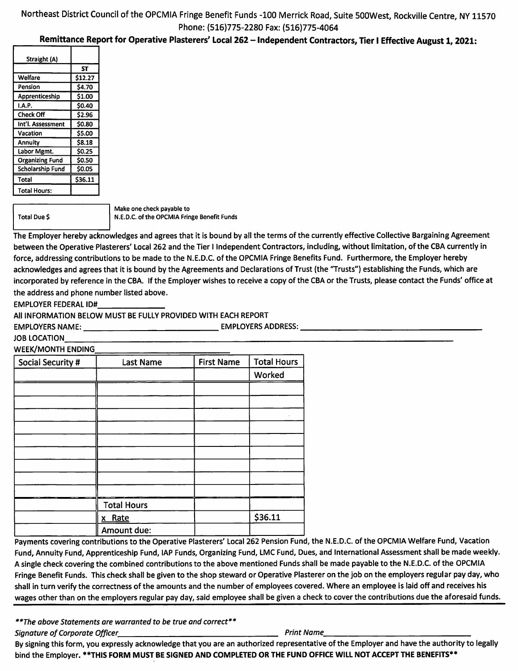### Northeast District Council of the OPCMIA Fringe Benefit Funds -100 Merrick Road, Suite SOOWest, Rockville Centre, NY 11570 Phone: (516)775-2280 Fax: (516)775-4064

#### Remittance Report for Operative Plasterers' Local 262 - Independent Contractors, Tier I Effective August 1, 2021:

| ST            |
|---------------|
| \$12.27       |
| \$4.70        |
| \$1.00        |
| \$0.40        |
| \$2.96        |
| \$0.80        |
| \$5.00        |
| \$8.18        |
| <b>SO.25</b>  |
| <b>\$0.50</b> |
| \$0.05        |
| \$36.11       |
|               |
|               |

Total Due \$

Make one check payable to N.E.D.C. of the OPCMIA Fringe Benefit Funds

The Employer hereby acknowledges and agrees that it is bound by all the terms of the currently effective Collective Bargaining Agreement between the Operative Plasterers' Local 262 and the Tier I Independent Contractors, including, without limitation, of the CBA currently in force, addressing contributions to be made to the N.E.D.C. of the OPCMIA Fringe Benefits Fund. Furthermore, the Employer hereby acknowledges and agrees that it is bound by the Agreements and Declarations of Trust (the 'Trusts") establishing the Funds, which are incorporated by reference in the CBA. If the Employer wishes to receive a copy of the CBA or the Trusts, please contact the Funds' office at the address and phone number listed above.

EMPLOYER FEDERAL ID#

All INFORMATION BELOW MUST BE FULLY PROVIDED WITH EACH REPORT

EMPLOYERS NAME: EMPLOYERS ADDRESS:

JOB LOCATION

**WEEK/MONTH ENDING** 

| Social Security # | <b>Last Name</b>   | <b>First Name</b> | <b>Total Hours</b> |
|-------------------|--------------------|-------------------|--------------------|
|                   |                    |                   | Worked             |
|                   |                    |                   |                    |
|                   |                    |                   |                    |
|                   |                    |                   |                    |
|                   |                    |                   |                    |
|                   |                    |                   |                    |
|                   |                    |                   |                    |
|                   |                    |                   |                    |
|                   |                    |                   |                    |
|                   |                    |                   |                    |
|                   | <b>Total Hours</b> |                   |                    |
|                   | x Rate             |                   | \$36.11            |
|                   | Amount due:        |                   |                    |

Payments covering contributions to the Operative Plasterers' Local 262 Pension Fund, the N.E.D.C. of the OPCMIA Welfare Fund, Vacation Fund, Annuity Fund, Apprenticeship Fund, lAP Funds, Organizing Fund, LMC Fund, Dues, and International Assessment shall be made weekly. A single check covering the combined contributions to the above mentioned Funds shall be made payable to the N.E.D.C. of the OPCMIA Fringe Benefit Funds. This check shall be given to the shop steward or Operative Plasterer on the job on the employers regular pay day, who shall in turn verify the correctness of the amounts and the number of employees covered. Where an employee is laid off and receives his wages other than on the employers regular pay day, said employee shall be given a check to cover the contributions due the aforesaid funds.

\*\*The above Statements are warranted to be true and correct\*\*

Signature of Corporate Officer **Print Name** Print Name

By signing this form, you expressly acknowledge that you are an authorized representative of the Employer and have the authority to legally bind the Employer. \*\*THIS FORM MUST BE SIGNED AND COMPLETED OR THE FUND OFFICE WILL NOT ACCEPT THE BENEFITS\*\*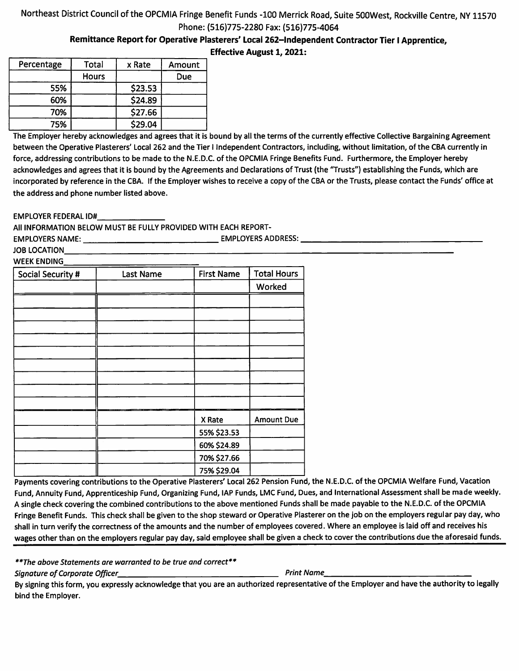## Northeast District Council of the OPCMIA Fringe Benefit Funds -100 Merrick Road, Suite SOOWest, Rockville Centre, NY 11570 Phone: (516)775-2280 Fax: (516)775-4064

Remittance Report for Operative Plasterers' Local 262-1ndependent Contractor Tier I Apprentice,

Effective August 1,2021:

| Percentage | Total        | x Rate  | Amount |
|------------|--------------|---------|--------|
|            | <b>Hours</b> |         | Due    |
| 55%        |              | \$23.53 |        |
| 60%        |              | \$24.89 |        |
| 70%        |              | \$27.66 |        |
| 75%        |              | \$29.04 |        |

The Employer hereby acknowledges and agrees that it is bound by all the terms of the currently effective Collective Bargaining Agreement between the Operative Plasterers' Local 262 and the Tier I Independent Contractors, including, without limitation, of the CBA currently in force, addressing contributions to be made to the N.E.D.C. of the OPCMIA Fringe Benefits Fund. Furthermore, the Employer hereby acknowledges and agrees that it is bound by the Agreements and Declarations of Trust (the "Trusts") establishing the Funds, which are incorporated by reference in the CBA. If the Employer wishes to receive a copy of the CBA or the Trusts, please contact the Funds' office at the address and phone number listed above.

EMPLOYER FEDERAL ID#

All INFORMATION BELOW MUST BE FULLY PROVIDED WITH EACH REPORT-

EMPLOYERS NAME: EMPLOYERS ADDRESS: JOB LOCATION **WEEK ENDING** 

| Social Security # | <b>Last Name</b> | <b>First Name</b> | <b>Total Hours</b> |
|-------------------|------------------|-------------------|--------------------|
|                   |                  |                   | Worked             |
|                   |                  |                   |                    |
|                   |                  |                   |                    |
|                   |                  |                   |                    |
|                   |                  |                   |                    |
|                   |                  |                   |                    |
|                   |                  |                   |                    |
|                   |                  |                   |                    |
|                   |                  |                   |                    |
|                   |                  |                   |                    |
|                   |                  | X Rate            | <b>Amount Due</b>  |
|                   |                  | 55% \$23.53       |                    |
|                   |                  | 60% \$24.89       |                    |
|                   |                  | 70% \$27.66       |                    |
|                   |                  | 75% \$29.04       |                    |

Payments covering contributions to the Operative Plasterers' Local 262 Pension Fund, the N.E.D.C. of the OPCMIA Welfare Fund, Vacation Fund, Annuity Fund, Apprenticeship Fund, Organizing Fund, lAP Funds, LMC Fund, Dues, and International Assessment shall be made weekly. A single check covering the combined contributions to the above mentioned Funds shall be made payable to the N.E.D.C. of the OPCMIA Fringe Benefit Funds. This check shall be given to the shop steward or Operative Plasterer on the job on the employers regular pay day, who shall in turn verify the correctness of the amounts and the number of employees covered. Where an employee is laid off and receives his wages other than on the employers regular pay day, said employee shall be given a check to cover the contributions due the aforesaid funds.

\*\*The above Statements are warranted to be true and correct\*\*

Signature of Corporate Officer Print Name

By signing this form, you expressly acknowledge that you are an authorized representative of the Employer and have the authority to legally bind the Employer.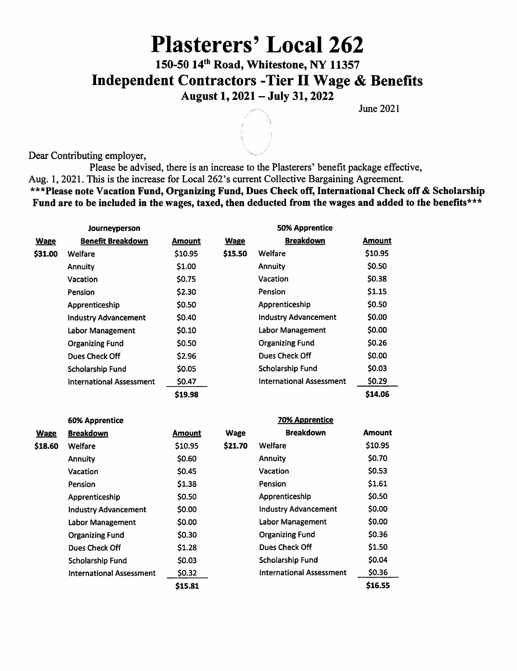# Plasterers' Local 262

150-50 14<sup>th</sup> Road, Whitestone, NY 11357 Independent Contractors -Tier II Wage & Benefits August 1,2021 - July 31,2022

June 2021

Dear Contributing employer,

Please be advised, there is an increase to the Plasterers' benefit package effective, Aug. 1, 2021. This is the increase for Local 262's current Collective Bargaining Agreement. \*\*\*Please note Vacation Fund, Organizing Fund, Dues Check off. International Check off & Scholarship Fund are to be included in the wages, taxed, then deducted from the wages and added to the benefits\*\*\*

|             | Journeyperson                   |               |             | <b>50% Apprentice</b>           |         |
|-------------|---------------------------------|---------------|-------------|---------------------------------|---------|
| <b>Wage</b> | <b>Benefit Breakdown</b>        | <b>Amount</b> | <b>Wage</b> | <b>Breakdown</b>                | Amount  |
| \$31.00     | Welfare                         | \$10.95       | \$15.50     | Welfare                         | \$10.95 |
|             | Annuity                         | \$1.00        |             | Annuity                         | \$0.50  |
|             | Vacation                        | \$0.75        |             | Vacation                        | \$0.38  |
|             | <b>Pension</b>                  | \$2.30        |             | Pension                         | \$1.15  |
|             | Apprenticeship                  | \$0.50        |             | Apprenticeship                  | \$0.50  |
|             | <b>Industry Advancement</b>     | \$0.40        |             | <b>Industry Advancement</b>     | \$0.00  |
|             | <b>Labor Management</b>         | \$0.10        |             | Labor Management                | \$0.00  |
|             | <b>Organizing Fund</b>          | \$0.50        |             | <b>Organizing Fund</b>          | \$0.26  |
|             | Dues Check Off                  | \$2.96        |             | Dues Check Off                  | \$0.00  |
|             | Scholarship Fund                | \$0.05        |             | Scholarship Fund                | \$0.03  |
|             | <b>International Assessment</b> | \$0.47        |             | <b>International Assessment</b> | \$0.29  |
|             |                                 | \$19.98       |             |                                 | \$14.06 |

|             | <b>60% Apprentice</b>           |               |             | <b>70% Apprentice</b>           |               |
|-------------|---------------------------------|---------------|-------------|---------------------------------|---------------|
| <b>Wage</b> | <b>Breakdown</b>                | <b>Amount</b> | <b>Wage</b> | <b>Breakdown</b>                | <b>Amount</b> |
| \$18.60     | Welfare                         | \$10.95       | \$21.70     | Welfare                         | \$10.95       |
|             | Annuity                         | \$0.60        |             | Annuity                         | \$0.70        |
|             | Vacation                        | \$0.45        |             | Vacation                        | \$0.53        |
|             | <b>Pension</b>                  | \$1.38        |             | Pension                         | \$1.61        |
|             | Apprenticeship                  | \$0.50        |             | Apprenticeship                  | \$0.50        |
|             | <b>Industry Advancement</b>     | \$0.00        |             | <b>Industry Advancement</b>     | \$0.00        |
|             | <b>Labor Management</b>         | \$0.00        |             | Labor Management                | \$0.00        |
|             | <b>Organizing Fund</b>          | \$0.30        |             | <b>Organizing Fund</b>          | \$0.36        |
|             | Dues Check Off                  | \$1.28        |             | Dues Check Off                  | \$1.50        |
|             | Scholarship Fund                | \$0.03        |             | Scholarship Fund                | \$0.04        |
|             | <b>International Assessment</b> | \$0.32        |             | <b>International Assessment</b> | \$0.36        |
|             |                                 | \$15.81       |             |                                 | \$16.55       |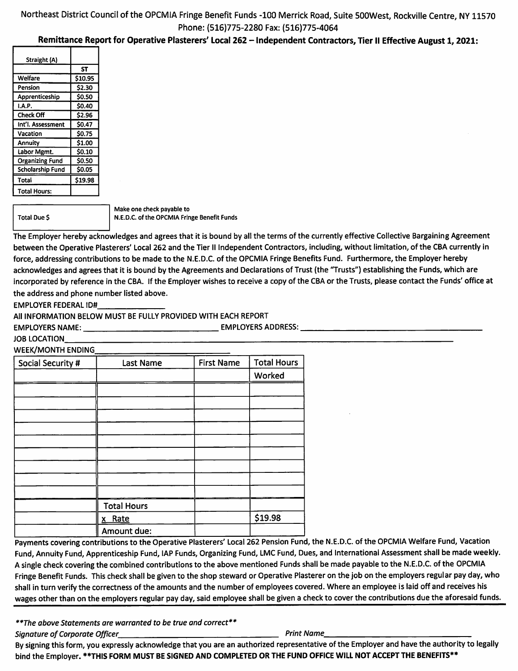### Northeast District Council of the OPCMIA Fringe Benefit Funds -100 Merrick Road, Suite SOOWest, Rockville Centre, NY 11570 Phone; (516)775-2280 Fax: (516)775-4064

#### Remittance Report for Operative Plasterers' Local 262 - Independent Contractors, Tier II Effective August 1, 2021:

| Straight (A)            |              |
|-------------------------|--------------|
|                         | ST           |
| Welfare                 | \$10.95      |
| Pension                 | \$2.30       |
| Apprenticeship          | \$0.50       |
| I.A.P.                  | \$0.40       |
| <b>Check Off</b>        | \$2.96       |
| Int'l. Assessment       | \$0.47       |
| Vacation                | \$0.75       |
| Annuity                 | \$1.00       |
| Labor Mgmt.             | <b>SO.10</b> |
| <b>Organizing Fund</b>  | \$0.50       |
| <b>Scholarship Fund</b> | \$0.05       |
| Total                   | \$19.98      |
| <b>Total Hours:</b>     |              |

Total Due \$

Make one check payable to N.E.D.C. of the OPCMIA Fringe Benefit Funds

The Employer hereby acknowledges and agrees that it is bound by all the terms of the currently effective Collective Bargaining Agreement between the Operative Plasterers' Local 262 and the Tier II Independent Contractors, including, without limitation, of the CBA currently in force, addressing contributions to be made to the N.E.D.C. of the OPCMIA Fringe Benefits Fund. Furthermore, the Employer hereby acknowledges and agrees that it is bound by the Agreements and Declarations of Trust (the "Trusts") establishing the Funds, which are incorporated by reference in the CBA. If the Employer wishes to receive a copy of the CBA or the Trusts, please contact the Funds' office at the address and phone number listed above.

EMPLOYER FEDERAL ID#

All INFORMATION BELOW MUST BE FULLY PROVIDED WITH EACH REPORT

EMPLOYERS NAME: EMPLOYERS ADDRESS:

JOB LOCATION

**WEEK/MONTH ENDING** 

| Social Security # | Last Name          | <b>First Name</b> | <b>Total Hours</b> |
|-------------------|--------------------|-------------------|--------------------|
|                   |                    |                   | Worked             |
|                   |                    |                   |                    |
|                   |                    |                   |                    |
|                   |                    |                   |                    |
|                   |                    |                   |                    |
|                   |                    |                   |                    |
|                   |                    |                   |                    |
|                   |                    |                   |                    |
|                   |                    |                   |                    |
|                   |                    |                   |                    |
|                   | <b>Total Hours</b> |                   |                    |
|                   | x Rate             |                   | \$19.98            |
|                   | Amount due:        |                   |                    |

Payments covering contributions to the Operative Plasterers' Local 262 Pension Fund, the N.E.D.C. of the OPCMIA Welfare Fund, Vacation Fund, Annuity Fund, Apprenticeship Fund, lAP Funds, Organizing Fund, LMC Fund, Dues, and International Assessment shall be made weekly. A single check covering the combined contributions to the above mentioned Funds shall be made payable to the N.E.D.C. of the OPCMIA Fringe Benefit Funds. This check shall be given to the shop steward or Operative Plasterer on the job on the employers regular pay day, who shall in turn verify the correctness of the amounts and the number of employees covered. Where an employee is laid off and receives his wages other than on the employers regular pay day, said employee shall be given a check to cover the contributions due the aforesaid funds.

\*\*The above Statements are warranted to be true and correct\*\*

Signature of Corporate Officer Print Name Print Name Print Name

By signing this form, you expressly acknowledge that you are an authorized representative of the Employer and have the authority to legally bind the Employer. \*\*THIS FORM MUST BE SIGNED AND COMPLETED OR THE FUND OFFICE WILL NOT ACCEPT THE BENEFITS\*\*